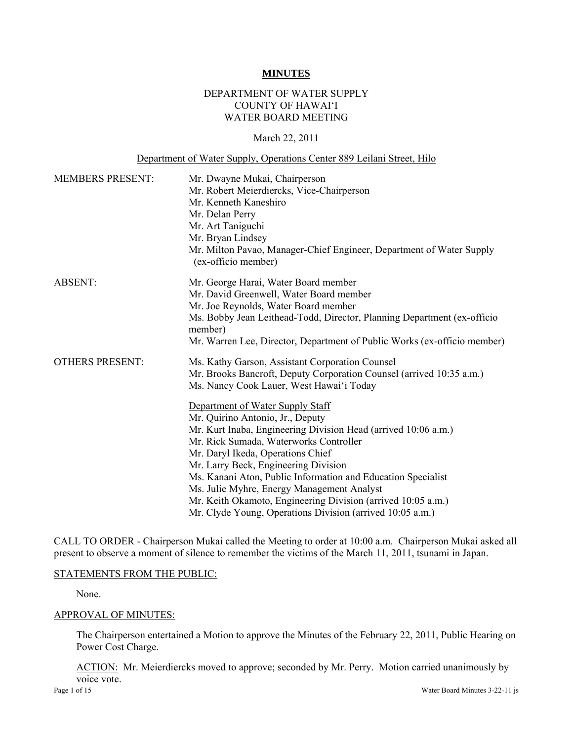#### **MINUTES**

## DEPARTMENT OF WATER SUPPLY COUNTY OF HAWAI'I WATER BOARD MEETING

#### March 22, 2011

#### Department of Water Supply, Operations Center 889 Leilani Street, Hilo

| <b>MEMBERS PRESENT:</b> | Mr. Dwayne Mukai, Chairperson<br>Mr. Robert Meierdiercks, Vice-Chairperson<br>Mr. Kenneth Kaneshiro<br>Mr. Delan Perry<br>Mr. Art Taniguchi<br>Mr. Bryan Lindsey<br>Mr. Milton Pavao, Manager-Chief Engineer, Department of Water Supply<br>(ex-officio member)                                                                                                                                                                                                                                                                                                                                                    |  |  |
|-------------------------|--------------------------------------------------------------------------------------------------------------------------------------------------------------------------------------------------------------------------------------------------------------------------------------------------------------------------------------------------------------------------------------------------------------------------------------------------------------------------------------------------------------------------------------------------------------------------------------------------------------------|--|--|
| <b>ABSENT:</b>          | Mr. George Harai, Water Board member<br>Mr. David Greenwell, Water Board member<br>Mr. Joe Reynolds, Water Board member<br>Ms. Bobby Jean Leithead-Todd, Director, Planning Department (ex-officio<br>member)<br>Mr. Warren Lee, Director, Department of Public Works (ex-officio member)                                                                                                                                                                                                                                                                                                                          |  |  |
| <b>OTHERS PRESENT:</b>  | Ms. Kathy Garson, Assistant Corporation Counsel<br>Mr. Brooks Bancroft, Deputy Corporation Counsel (arrived 10:35 a.m.)<br>Ms. Nancy Cook Lauer, West Hawai'i Today<br>Department of Water Supply Staff<br>Mr. Quirino Antonio, Jr., Deputy<br>Mr. Kurt Inaba, Engineering Division Head (arrived 10:06 a.m.)<br>Mr. Rick Sumada, Waterworks Controller<br>Mr. Daryl Ikeda, Operations Chief<br>Mr. Larry Beck, Engineering Division<br>Ms. Kanani Aton, Public Information and Education Specialist<br>Ms. Julie Myhre, Energy Management Analyst<br>Mr. Keith Okamoto, Engineering Division (arrived 10:05 a.m.) |  |  |

CALL TO ORDER - Chairperson Mukai called the Meeting to order at 10:00 a.m. Chairperson Mukai asked all present to observe a moment of silence to remember the victims of the March 11, 2011, tsunami in Japan.

#### STATEMENTS FROM THE PUBLIC:

None.

#### APPROVAL OF MINUTES:

The Chairperson entertained a Motion to approve the Minutes of the February 22, 2011, Public Hearing on Power Cost Charge.

ACTION: Mr. Meierdiercks moved to approve; seconded by Mr. Perry. Motion carried unanimously by voice vote.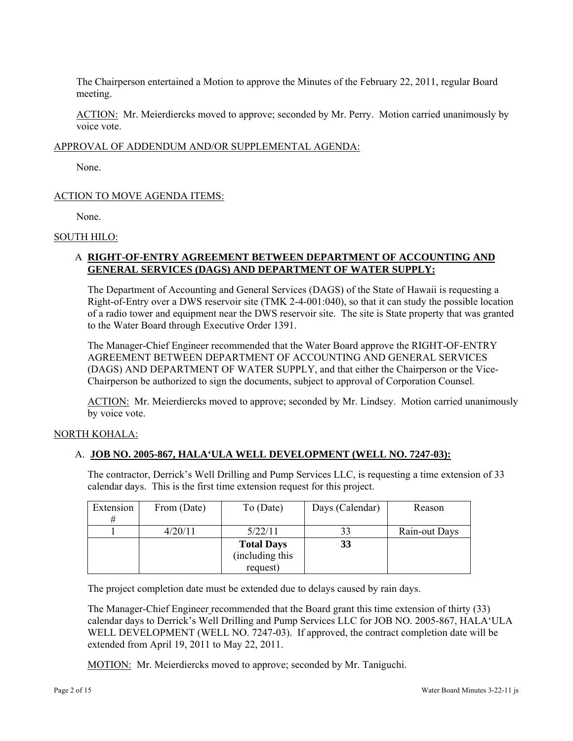The Chairperson entertained a Motion to approve the Minutes of the February 22, 2011, regular Board meeting.

ACTION: Mr. Meierdiercks moved to approve; seconded by Mr. Perry. Motion carried unanimously by voice vote.

## APPROVAL OF ADDENDUM AND/OR SUPPLEMENTAL AGENDA:

None.

## ACTION TO MOVE AGENDA ITEMS:

None.

#### SOUTH HILO:

## A **RIGHT-OF-ENTRY AGREEMENT BETWEEN DEPARTMENT OF ACCOUNTING AND GENERAL SERVICES (DAGS) AND DEPARTMENT OF WATER SUPPLY:**

The Department of Accounting and General Services (DAGS) of the State of Hawaii is requesting a Right-of-Entry over a DWS reservoir site (TMK 2-4-001:040), so that it can study the possible location of a radio tower and equipment near the DWS reservoir site. The site is State property that was granted to the Water Board through Executive Order 1391.

The Manager-Chief Engineer recommended that the Water Board approve the RIGHT-OF-ENTRY AGREEMENT BETWEEN DEPARTMENT OF ACCOUNTING AND GENERAL SERVICES (DAGS) AND DEPARTMENT OF WATER SUPPLY, and that either the Chairperson or the Vice-Chairperson be authorized to sign the documents, subject to approval of Corporation Counsel.

ACTION: Mr. Meierdiercks moved to approve; seconded by Mr. Lindsey. Motion carried unanimously by voice vote.

#### NORTH KOHALA:

## A. **JOB NO. 2005-867, HALA'ULA WELL DEVELOPMENT (WELL NO. 7247-03):**

The contractor, Derrick's Well Drilling and Pump Services LLC, is requesting a time extension of 33 calendar days. This is the first time extension request for this project.

| Extension | From (Date) | To (Date)         | Days (Calendar) | Reason        |
|-----------|-------------|-------------------|-----------------|---------------|
| #         |             |                   |                 |               |
|           | 4/20/11     | 5/22/11           | 33              | Rain-out Days |
|           |             | <b>Total Days</b> | 33              |               |
|           |             | (including this   |                 |               |
|           |             | request)          |                 |               |

The project completion date must be extended due to delays caused by rain days.

The Manager-Chief Engineer recommended that the Board grant this time extension of thirty (33) calendar days to Derrick's Well Drilling and Pump Services LLC for JOB NO. 2005-867, HALA'ULA WELL DEVELOPMENT (WELL NO. 7247-03). If approved, the contract completion date will be extended from April 19, 2011 to May 22, 2011.

MOTION: Mr. Meierdiercks moved to approve; seconded by Mr. Taniguchi.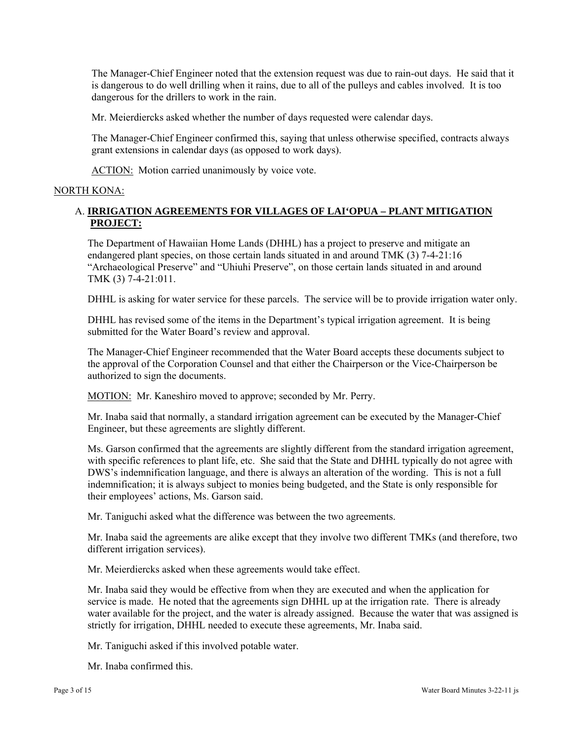The Manager-Chief Engineer noted that the extension request was due to rain-out days. He said that it is dangerous to do well drilling when it rains, due to all of the pulleys and cables involved. It is too dangerous for the drillers to work in the rain.

Mr. Meierdiercks asked whether the number of days requested were calendar days.

The Manager-Chief Engineer confirmed this, saying that unless otherwise specified, contracts always grant extensions in calendar days (as opposed to work days).

ACTION: Motion carried unanimously by voice vote.

### NORTH KONA:

## A. **IRRIGATION AGREEMENTS FOR VILLAGES OF LAI'OPUA – PLANT MITIGATION PROJECT:**

The Department of Hawaiian Home Lands (DHHL) has a project to preserve and mitigate an endangered plant species, on those certain lands situated in and around TMK (3) 7-4-21:16 "Archaeological Preserve" and "Uhiuhi Preserve", on those certain lands situated in and around TMK (3) 7-4-21:011.

DHHL is asking for water service for these parcels. The service will be to provide irrigation water only.

DHHL has revised some of the items in the Department's typical irrigation agreement. It is being submitted for the Water Board's review and approval.

The Manager-Chief Engineer recommended that the Water Board accepts these documents subject to the approval of the Corporation Counsel and that either the Chairperson or the Vice-Chairperson be authorized to sign the documents.

MOTION: Mr. Kaneshiro moved to approve; seconded by Mr. Perry.

Mr. Inaba said that normally, a standard irrigation agreement can be executed by the Manager-Chief Engineer, but these agreements are slightly different.

Ms. Garson confirmed that the agreements are slightly different from the standard irrigation agreement, with specific references to plant life, etc. She said that the State and DHHL typically do not agree with DWS's indemnification language, and there is always an alteration of the wording. This is not a full indemnification; it is always subject to monies being budgeted, and the State is only responsible for their employees' actions, Ms. Garson said.

Mr. Taniguchi asked what the difference was between the two agreements.

Mr. Inaba said the agreements are alike except that they involve two different TMKs (and therefore, two different irrigation services).

Mr. Meierdiercks asked when these agreements would take effect.

Mr. Inaba said they would be effective from when they are executed and when the application for service is made. He noted that the agreements sign DHHL up at the irrigation rate. There is already water available for the project, and the water is already assigned. Because the water that was assigned is strictly for irrigation, DHHL needed to execute these agreements, Mr. Inaba said.

Mr. Taniguchi asked if this involved potable water.

Mr. Inaba confirmed this.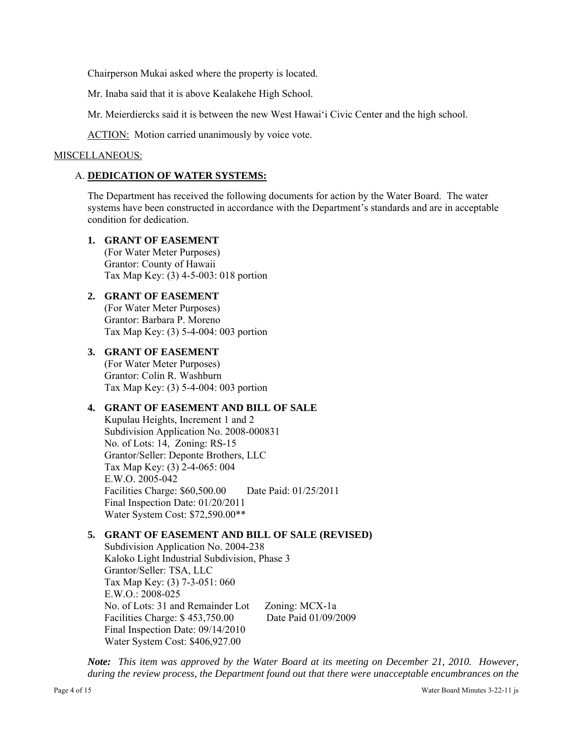Chairperson Mukai asked where the property is located.

Mr. Inaba said that it is above Kealakehe High School.

Mr. Meierdiercks said it is between the new West Hawai'i Civic Center and the high school.

ACTION: Motion carried unanimously by voice vote.

#### MISCELLANEOUS:

### A. **DEDICATION OF WATER SYSTEMS:**

The Department has received the following documents for action by the Water Board. The water systems have been constructed in accordance with the Department's standards and are in acceptable condition for dedication.

#### **1. GRANT OF EASEMENT**

(For Water Meter Purposes) Grantor: County of Hawaii Tax Map Key: (3) 4-5-003: 018 portion

## **2. GRANT OF EASEMENT**

(For Water Meter Purposes) Grantor: Barbara P. Moreno Tax Map Key: (3) 5-4-004: 003 portion

## **3. GRANT OF EASEMENT**

(For Water Meter Purposes) Grantor: Colin R. Washburn Tax Map Key: (3) 5-4-004: 003 portion

## **4. GRANT OF EASEMENT AND BILL OF SALE**

Kupulau Heights, Increment 1 and 2 Subdivision Application No. 2008-000831 No. of Lots: 14, Zoning: RS-15 Grantor/Seller: Deponte Brothers, LLC Tax Map Key: (3) 2-4-065: 004 E.W.O. 2005-042 Facilities Charge: \$60,500.00 Date Paid: 01/25/2011 Final Inspection Date: 01/20/2011 Water System Cost: \$72,590.00\*\*

## **5. GRANT OF EASEMENT AND BILL OF SALE (REVISED)**

Subdivision Application No. 2004-238 Kaloko Light Industrial Subdivision, Phase 3 Grantor/Seller: TSA, LLC Tax Map Key: (3) 7-3-051: 060 E.W.O.: 2008-025 No. of Lots: 31 and Remainder Lot Zoning: MCX-1a Facilities Charge: \$ 453,750.00 Date Paid 01/09/2009 Final Inspection Date: 09/14/2010 Water System Cost: \$406,927.00

*Note: This item was approved by the Water Board at its meeting on December 21, 2010. However, during the review process, the Department found out that there were unacceptable encumbrances on the*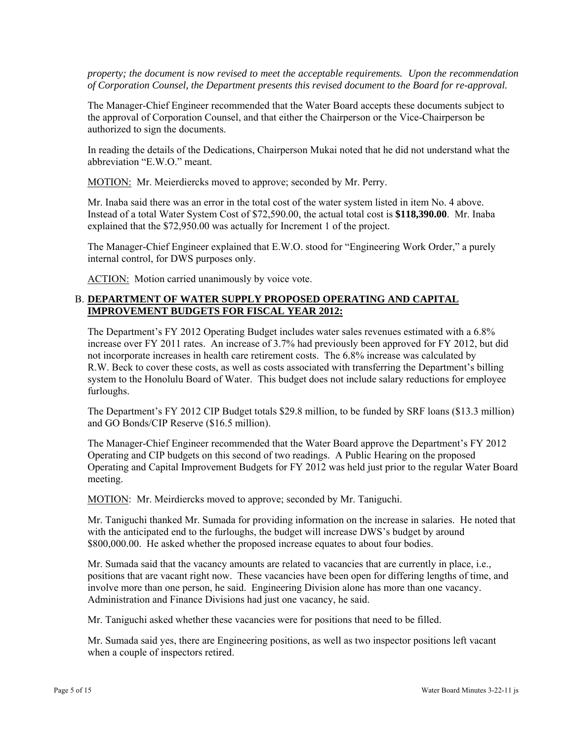*property; the document is now revised to meet the acceptable requirements. Upon the recommendation of Corporation Counsel, the Department presents this revised document to the Board for re-approval.* 

The Manager-Chief Engineer recommended that the Water Board accepts these documents subject to the approval of Corporation Counsel, and that either the Chairperson or the Vice-Chairperson be authorized to sign the documents.

In reading the details of the Dedications, Chairperson Mukai noted that he did not understand what the abbreviation "E.W.O." meant.

MOTION: Mr. Meierdiercks moved to approve; seconded by Mr. Perry.

Mr. Inaba said there was an error in the total cost of the water system listed in item No. 4 above. Instead of a total Water System Cost of \$72,590.00, the actual total cost is **\$118,390.00**. Mr. Inaba explained that the \$72,950.00 was actually for Increment 1 of the project.

The Manager-Chief Engineer explained that E.W.O. stood for "Engineering Work Order," a purely internal control, for DWS purposes only.

ACTION: Motion carried unanimously by voice vote.

## B. **DEPARTMENT OF WATER SUPPLY PROPOSED OPERATING AND CAPITAL IMPROVEMENT BUDGETS FOR FISCAL YEAR 2012:**

The Department's FY 2012 Operating Budget includes water sales revenues estimated with a 6.8% increase over FY 2011 rates. An increase of 3.7% had previously been approved for FY 2012, but did not incorporate increases in health care retirement costs. The 6.8% increase was calculated by R.W. Beck to cover these costs, as well as costs associated with transferring the Department's billing system to the Honolulu Board of Water. This budget does not include salary reductions for employee furloughs.

The Department's FY 2012 CIP Budget totals \$29.8 million, to be funded by SRF loans (\$13.3 million) and GO Bonds/CIP Reserve (\$16.5 million).

The Manager-Chief Engineer recommended that the Water Board approve the Department's FY 2012 Operating and CIP budgets on this second of two readings. A Public Hearing on the proposed Operating and Capital Improvement Budgets for FY 2012 was held just prior to the regular Water Board meeting.

MOTION: Mr. Meirdiercks moved to approve; seconded by Mr. Taniguchi.

Mr. Taniguchi thanked Mr. Sumada for providing information on the increase in salaries. He noted that with the anticipated end to the furloughs, the budget will increase DWS's budget by around \$800,000.00. He asked whether the proposed increase equates to about four bodies.

Mr. Sumada said that the vacancy amounts are related to vacancies that are currently in place, i.e., positions that are vacant right now. These vacancies have been open for differing lengths of time, and involve more than one person, he said. Engineering Division alone has more than one vacancy. Administration and Finance Divisions had just one vacancy, he said.

Mr. Taniguchi asked whether these vacancies were for positions that need to be filled.

Mr. Sumada said yes, there are Engineering positions, as well as two inspector positions left vacant when a couple of inspectors retired.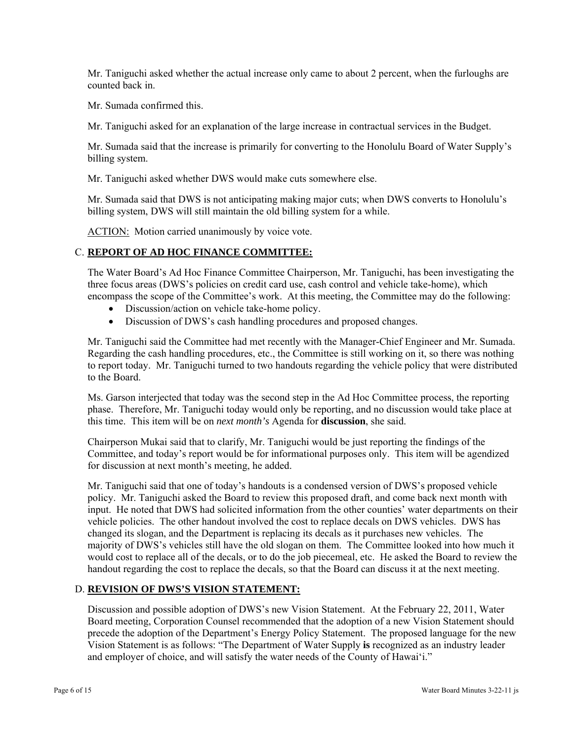Mr. Taniguchi asked whether the actual increase only came to about 2 percent, when the furloughs are counted back in.

Mr. Sumada confirmed this.

Mr. Taniguchi asked for an explanation of the large increase in contractual services in the Budget.

Mr. Sumada said that the increase is primarily for converting to the Honolulu Board of Water Supply's billing system.

Mr. Taniguchi asked whether DWS would make cuts somewhere else.

Mr. Sumada said that DWS is not anticipating making major cuts; when DWS converts to Honolulu's billing system, DWS will still maintain the old billing system for a while.

ACTION: Motion carried unanimously by voice vote.

## C. **REPORT OF AD HOC FINANCE COMMITTEE:**

The Water Board's Ad Hoc Finance Committee Chairperson, Mr. Taniguchi, has been investigating the three focus areas (DWS's policies on credit card use, cash control and vehicle take-home), which encompass the scope of the Committee's work. At this meeting, the Committee may do the following:

- Discussion/action on vehicle take-home policy.
- Discussion of DWS's cash handling procedures and proposed changes.

Mr. Taniguchi said the Committee had met recently with the Manager-Chief Engineer and Mr. Sumada. Regarding the cash handling procedures, etc., the Committee is still working on it, so there was nothing to report today. Mr. Taniguchi turned to two handouts regarding the vehicle policy that were distributed to the Board.

Ms. Garson interjected that today was the second step in the Ad Hoc Committee process, the reporting phase. Therefore, Mr. Taniguchi today would only be reporting, and no discussion would take place at this time. This item will be on *next month's* Agenda for **discussion**, she said.

Chairperson Mukai said that to clarify, Mr. Taniguchi would be just reporting the findings of the Committee, and today's report would be for informational purposes only. This item will be agendized for discussion at next month's meeting, he added.

Mr. Taniguchi said that one of today's handouts is a condensed version of DWS's proposed vehicle policy. Mr. Taniguchi asked the Board to review this proposed draft, and come back next month with input. He noted that DWS had solicited information from the other counties' water departments on their vehicle policies. The other handout involved the cost to replace decals on DWS vehicles. DWS has changed its slogan, and the Department is replacing its decals as it purchases new vehicles. The majority of DWS's vehicles still have the old slogan on them. The Committee looked into how much it would cost to replace all of the decals, or to do the job piecemeal, etc. He asked the Board to review the handout regarding the cost to replace the decals, so that the Board can discuss it at the next meeting.

# D. **REVISION OF DWS'S VISION STATEMENT:**

Discussion and possible adoption of DWS's new Vision Statement. At the February 22, 2011, Water Board meeting, Corporation Counsel recommended that the adoption of a new Vision Statement should precede the adoption of the Department's Energy Policy Statement. The proposed language for the new Vision Statement is as follows: "The Department of Water Supply **is** recognized as an industry leader and employer of choice, and will satisfy the water needs of the County of Hawai'i."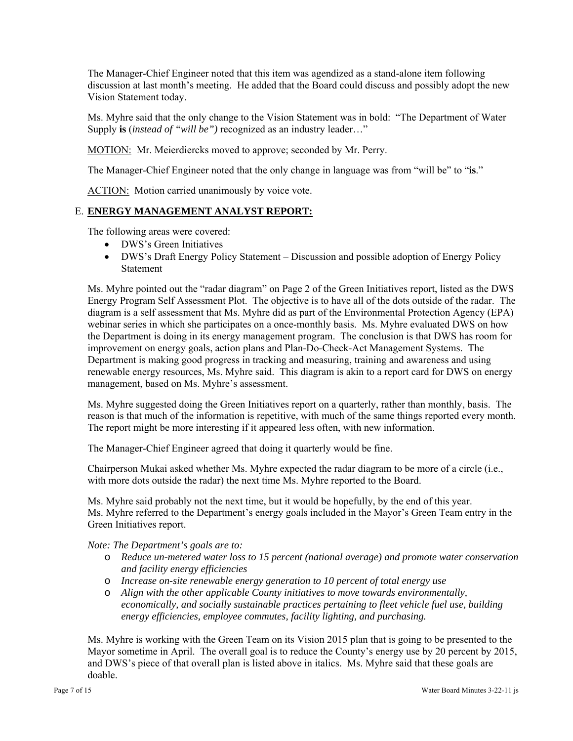The Manager-Chief Engineer noted that this item was agendized as a stand-alone item following discussion at last month's meeting. He added that the Board could discuss and possibly adopt the new Vision Statement today.

Ms. Myhre said that the only change to the Vision Statement was in bold: "The Department of Water Supply **is** (*instead of "will be")* recognized as an industry leader…"

MOTION: Mr. Meierdiercks moved to approve; seconded by Mr. Perry.

The Manager-Chief Engineer noted that the only change in language was from "will be" to "**is**."

ACTION: Motion carried unanimously by voice vote.

# E. **ENERGY MANAGEMENT ANALYST REPORT:**

The following areas were covered:

- DWS's Green Initiatives
- DWS's Draft Energy Policy Statement Discussion and possible adoption of Energy Policy Statement

Ms. Myhre pointed out the "radar diagram" on Page 2 of the Green Initiatives report, listed as the DWS Energy Program Self Assessment Plot. The objective is to have all of the dots outside of the radar. The diagram is a self assessment that Ms. Myhre did as part of the Environmental Protection Agency (EPA) webinar series in which she participates on a once-monthly basis. Ms. Myhre evaluated DWS on how the Department is doing in its energy management program. The conclusion is that DWS has room for improvement on energy goals, action plans and Plan-Do-Check-Act Management Systems. The Department is making good progress in tracking and measuring, training and awareness and using renewable energy resources, Ms. Myhre said. This diagram is akin to a report card for DWS on energy management, based on Ms. Myhre's assessment.

Ms. Myhre suggested doing the Green Initiatives report on a quarterly, rather than monthly, basis. The reason is that much of the information is repetitive, with much of the same things reported every month. The report might be more interesting if it appeared less often, with new information.

The Manager-Chief Engineer agreed that doing it quarterly would be fine.

Chairperson Mukai asked whether Ms. Myhre expected the radar diagram to be more of a circle (i.e., with more dots outside the radar) the next time Ms. Myhre reported to the Board.

Ms. Myhre said probably not the next time, but it would be hopefully, by the end of this year. Ms. Myhre referred to the Department's energy goals included in the Mayor's Green Team entry in the Green Initiatives report.

#### *Note: The Department's goals are to:*

- o *Reduce un-metered water loss to 15 percent (national average) and promote water conservation and facility energy efficiencies*
- o *Increase on-site renewable energy generation to 10 percent of total energy use*
- o *Align with the other applicable County initiatives to move towards environmentally, economically, and socially sustainable practices pertaining to fleet vehicle fuel use, building energy efficiencies, employee commutes, facility lighting, and purchasing.*

Ms. Myhre is working with the Green Team on its Vision 2015 plan that is going to be presented to the Mayor sometime in April. The overall goal is to reduce the County's energy use by 20 percent by 2015, and DWS's piece of that overall plan is listed above in italics. Ms. Myhre said that these goals are doable.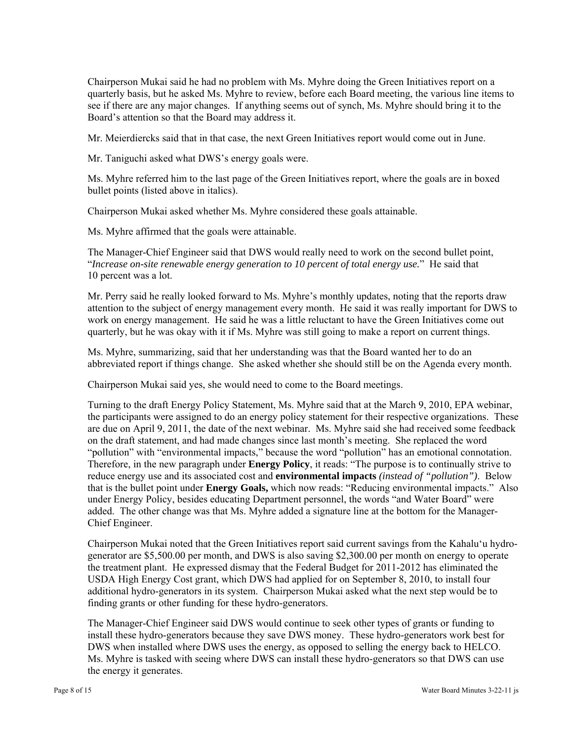Chairperson Mukai said he had no problem with Ms. Myhre doing the Green Initiatives report on a quarterly basis, but he asked Ms. Myhre to review, before each Board meeting, the various line items to see if there are any major changes. If anything seems out of synch, Ms. Myhre should bring it to the Board's attention so that the Board may address it.

Mr. Meierdiercks said that in that case, the next Green Initiatives report would come out in June.

Mr. Taniguchi asked what DWS's energy goals were.

Ms. Myhre referred him to the last page of the Green Initiatives report, where the goals are in boxed bullet points (listed above in italics).

Chairperson Mukai asked whether Ms. Myhre considered these goals attainable.

Ms. Myhre affirmed that the goals were attainable.

The Manager-Chief Engineer said that DWS would really need to work on the second bullet point, "*Increase on-site renewable energy generation to 10 percent of total energy use.*" He said that 10 percent was a lot.

Mr. Perry said he really looked forward to Ms. Myhre's monthly updates, noting that the reports draw attention to the subject of energy management every month. He said it was really important for DWS to work on energy management. He said he was a little reluctant to have the Green Initiatives come out quarterly, but he was okay with it if Ms. Myhre was still going to make a report on current things.

Ms. Myhre, summarizing, said that her understanding was that the Board wanted her to do an abbreviated report if things change. She asked whether she should still be on the Agenda every month.

Chairperson Mukai said yes, she would need to come to the Board meetings.

Turning to the draft Energy Policy Statement, Ms. Myhre said that at the March 9, 2010, EPA webinar, the participants were assigned to do an energy policy statement for their respective organizations. These are due on April 9, 2011, the date of the next webinar. Ms. Myhre said she had received some feedback on the draft statement, and had made changes since last month's meeting. She replaced the word "pollution" with "environmental impacts," because the word "pollution" has an emotional connotation. Therefore, in the new paragraph under **Energy Policy**, it reads: "The purpose is to continually strive to reduce energy use and its associated cost and **environmental impacts** *(instead of "pollution")*. Below that is the bullet point under **Energy Goals,** which now reads: "Reducing environmental impacts." Also under Energy Policy, besides educating Department personnel, the words "and Water Board" were added. The other change was that Ms. Myhre added a signature line at the bottom for the Manager-Chief Engineer.

Chairperson Mukai noted that the Green Initiatives report said current savings from the Kahalu'u hydrogenerator are \$5,500.00 per month, and DWS is also saving \$2,300.00 per month on energy to operate the treatment plant. He expressed dismay that the Federal Budget for 2011-2012 has eliminated the USDA High Energy Cost grant, which DWS had applied for on September 8, 2010, to install four additional hydro-generators in its system. Chairperson Mukai asked what the next step would be to finding grants or other funding for these hydro-generators.

The Manager-Chief Engineer said DWS would continue to seek other types of grants or funding to install these hydro-generators because they save DWS money. These hydro-generators work best for DWS when installed where DWS uses the energy, as opposed to selling the energy back to HELCO. Ms. Myhre is tasked with seeing where DWS can install these hydro-generators so that DWS can use the energy it generates.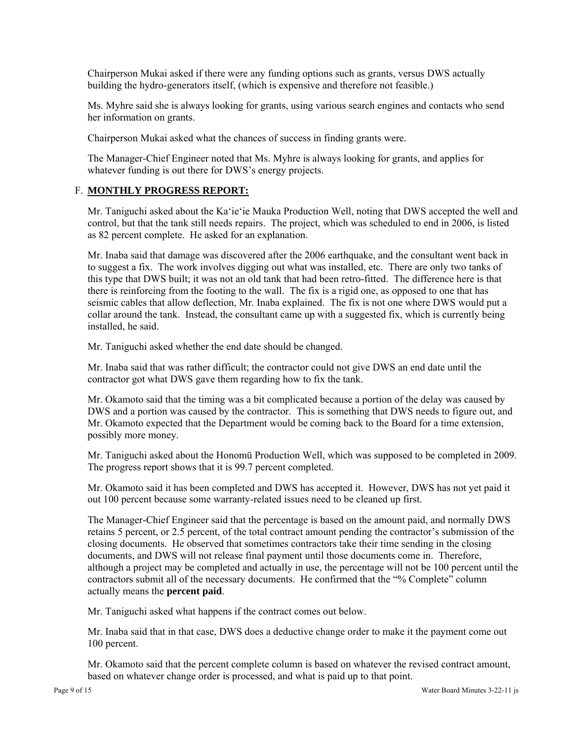Chairperson Mukai asked if there were any funding options such as grants, versus DWS actually building the hydro-generators itself, (which is expensive and therefore not feasible.)

Ms. Myhre said she is always looking for grants, using various search engines and contacts who send her information on grants.

Chairperson Mukai asked what the chances of success in finding grants were.

The Manager-Chief Engineer noted that Ms. Myhre is always looking for grants, and applies for whatever funding is out there for DWS's energy projects.

## F. **MONTHLY PROGRESS REPORT:**

Mr. Taniguchi asked about the Ka'ie'ie Mauka Production Well, noting that DWS accepted the well and control, but that the tank still needs repairs. The project, which was scheduled to end in 2006, is listed as 82 percent complete. He asked for an explanation.

Mr. Inaba said that damage was discovered after the 2006 earthquake, and the consultant went back in to suggest a fix. The work involves digging out what was installed, etc. There are only two tanks of this type that DWS built; it was not an old tank that had been retro-fitted. The difference here is that there is reinforcing from the footing to the wall. The fix is a rigid one, as opposed to one that has seismic cables that allow deflection, Mr. Inaba explained. The fix is not one where DWS would put a collar around the tank. Instead, the consultant came up with a suggested fix, which is currently being installed, he said.

Mr. Taniguchi asked whether the end date should be changed.

Mr. Inaba said that was rather difficult; the contractor could not give DWS an end date until the contractor got what DWS gave them regarding how to fix the tank.

Mr. Okamoto said that the timing was a bit complicated because a portion of the delay was caused by DWS and a portion was caused by the contractor. This is something that DWS needs to figure out, and Mr. Okamoto expected that the Department would be coming back to the Board for a time extension, possibly more money.

Mr. Taniguchi asked about the Honomū Production Well, which was supposed to be completed in 2009. The progress report shows that it is 99.7 percent completed.

Mr. Okamoto said it has been completed and DWS has accepted it. However, DWS has not yet paid it out 100 percent because some warranty-related issues need to be cleaned up first.

The Manager-Chief Engineer said that the percentage is based on the amount paid, and normally DWS retains 5 percent, or 2.5 percent, of the total contract amount pending the contractor's submission of the closing documents. He observed that sometimes contractors take their time sending in the closing documents, and DWS will not release final payment until those documents come in. Therefore, although a project may be completed and actually in use, the percentage will not be 100 percent until the contractors submit all of the necessary documents. He confirmed that the "% Complete" column actually means the **percent paid**.

Mr. Taniguchi asked what happens if the contract comes out below.

Mr. Inaba said that in that case, DWS does a deductive change order to make it the payment come out 100 percent.

Mr. Okamoto said that the percent complete column is based on whatever the revised contract amount, based on whatever change order is processed, and what is paid up to that point.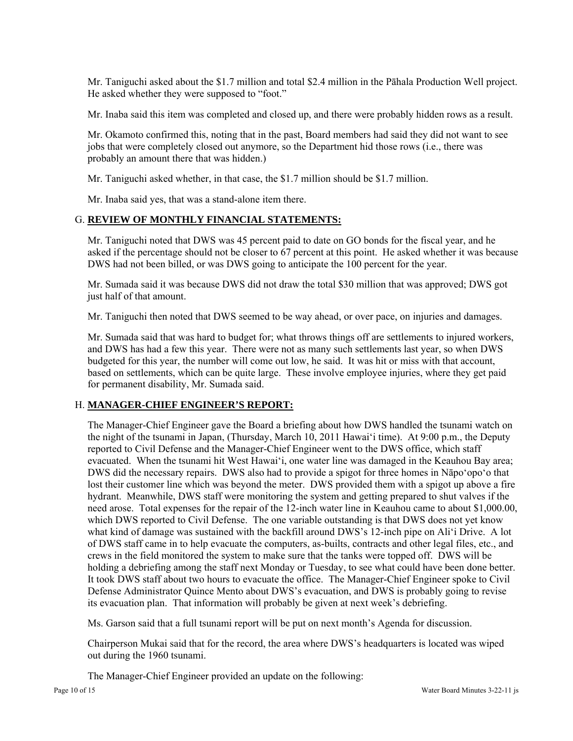Mr. Taniguchi asked about the \$1.7 million and total \$2.4 million in the Pāhala Production Well project. He asked whether they were supposed to "foot."

Mr. Inaba said this item was completed and closed up, and there were probably hidden rows as a result.

Mr. Okamoto confirmed this, noting that in the past, Board members had said they did not want to see jobs that were completely closed out anymore, so the Department hid those rows (i.e., there was probably an amount there that was hidden.)

Mr. Taniguchi asked whether, in that case, the \$1.7 million should be \$1.7 million.

Mr. Inaba said yes, that was a stand-alone item there.

## G. **REVIEW OF MONTHLY FINANCIAL STATEMENTS:**

Mr. Taniguchi noted that DWS was 45 percent paid to date on GO bonds for the fiscal year, and he asked if the percentage should not be closer to 67 percent at this point. He asked whether it was because DWS had not been billed, or was DWS going to anticipate the 100 percent for the year.

Mr. Sumada said it was because DWS did not draw the total \$30 million that was approved; DWS got just half of that amount.

Mr. Taniguchi then noted that DWS seemed to be way ahead, or over pace, on injuries and damages.

Mr. Sumada said that was hard to budget for; what throws things off are settlements to injured workers, and DWS has had a few this year. There were not as many such settlements last year, so when DWS budgeted for this year, the number will come out low, he said. It was hit or miss with that account, based on settlements, which can be quite large. These involve employee injuries, where they get paid for permanent disability, Mr. Sumada said.

## H. **MANAGER-CHIEF ENGINEER'S REPORT:**

The Manager-Chief Engineer gave the Board a briefing about how DWS handled the tsunami watch on the night of the tsunami in Japan, (Thursday, March 10, 2011 Hawai'i time). At 9:00 p.m., the Deputy reported to Civil Defense and the Manager-Chief Engineer went to the DWS office, which staff evacuated. When the tsunami hit West Hawai'i, one water line was damaged in the Keauhou Bay area; DWS did the necessary repairs. DWS also had to provide a spigot for three homes in Nāpo'opo'o that lost their customer line which was beyond the meter. DWS provided them with a spigot up above a fire hydrant. Meanwhile, DWS staff were monitoring the system and getting prepared to shut valves if the need arose. Total expenses for the repair of the 12-inch water line in Keauhou came to about \$1,000.00, which DWS reported to Civil Defense. The one variable outstanding is that DWS does not yet know what kind of damage was sustained with the backfill around DWS's 12-inch pipe on Ali'i Drive. A lot of DWS staff came in to help evacuate the computers, as-builts, contracts and other legal files, etc., and crews in the field monitored the system to make sure that the tanks were topped off. DWS will be holding a debriefing among the staff next Monday or Tuesday, to see what could have been done better. It took DWS staff about two hours to evacuate the office. The Manager-Chief Engineer spoke to Civil Defense Administrator Quince Mento about DWS's evacuation, and DWS is probably going to revise its evacuation plan. That information will probably be given at next week's debriefing.

Ms. Garson said that a full tsunami report will be put on next month's Agenda for discussion.

Chairperson Mukai said that for the record, the area where DWS's headquarters is located was wiped out during the 1960 tsunami.

The Manager-Chief Engineer provided an update on the following: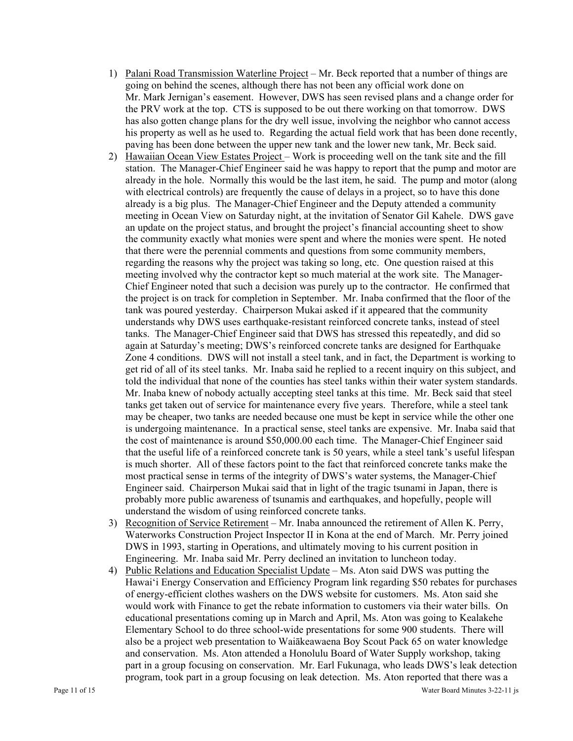- 1) Palani Road Transmission Waterline Project Mr. Beck reported that a number of things are going on behind the scenes, although there has not been any official work done on Mr. Mark Jernigan's easement. However, DWS has seen revised plans and a change order for the PRV work at the top. CTS is supposed to be out there working on that tomorrow. DWS has also gotten change plans for the dry well issue, involving the neighbor who cannot access his property as well as he used to. Regarding the actual field work that has been done recently, paving has been done between the upper new tank and the lower new tank, Mr. Beck said.
- 2) Hawaiian Ocean View Estates Project Work is proceeding well on the tank site and the fill station. The Manager-Chief Engineer said he was happy to report that the pump and motor are already in the hole. Normally this would be the last item, he said. The pump and motor (along with electrical controls) are frequently the cause of delays in a project, so to have this done already is a big plus. The Manager-Chief Engineer and the Deputy attended a community meeting in Ocean View on Saturday night, at the invitation of Senator Gil Kahele. DWS gave an update on the project status, and brought the project's financial accounting sheet to show the community exactly what monies were spent and where the monies were spent. He noted that there were the perennial comments and questions from some community members, regarding the reasons why the project was taking so long, etc. One question raised at this meeting involved why the contractor kept so much material at the work site. The Manager-Chief Engineer noted that such a decision was purely up to the contractor. He confirmed that the project is on track for completion in September. Mr. Inaba confirmed that the floor of the tank was poured yesterday. Chairperson Mukai asked if it appeared that the community understands why DWS uses earthquake-resistant reinforced concrete tanks, instead of steel tanks. The Manager-Chief Engineer said that DWS has stressed this repeatedly, and did so again at Saturday's meeting; DWS's reinforced concrete tanks are designed for Earthquake Zone 4 conditions. DWS will not install a steel tank, and in fact, the Department is working to get rid of all of its steel tanks. Mr. Inaba said he replied to a recent inquiry on this subject, and told the individual that none of the counties has steel tanks within their water system standards. Mr. Inaba knew of nobody actually accepting steel tanks at this time. Mr. Beck said that steel tanks get taken out of service for maintenance every five years. Therefore, while a steel tank may be cheaper, two tanks are needed because one must be kept in service while the other one is undergoing maintenance. In a practical sense, steel tanks are expensive. Mr. Inaba said that the cost of maintenance is around \$50,000.00 each time. The Manager-Chief Engineer said that the useful life of a reinforced concrete tank is 50 years, while a steel tank's useful lifespan is much shorter. All of these factors point to the fact that reinforced concrete tanks make the most practical sense in terms of the integrity of DWS's water systems, the Manager-Chief Engineer said. Chairperson Mukai said that in light of the tragic tsunami in Japan, there is probably more public awareness of tsunamis and earthquakes, and hopefully, people will understand the wisdom of using reinforced concrete tanks.
- 3) Recognition of Service Retirement Mr. Inaba announced the retirement of Allen K. Perry, Waterworks Construction Project Inspector II in Kona at the end of March. Mr. Perry joined DWS in 1993, starting in Operations, and ultimately moving to his current position in Engineering. Mr. Inaba said Mr. Perry declined an invitation to luncheon today.
- 4) Public Relations and Education Specialist Update Ms. Aton said DWS was putting the Hawai'i Energy Conservation and Efficiency Program link regarding \$50 rebates for purchases of energy-efficient clothes washers on the DWS website for customers. Ms. Aton said she would work with Finance to get the rebate information to customers via their water bills. On educational presentations coming up in March and April, Ms. Aton was going to Kealakehe Elementary School to do three school-wide presentations for some 900 students. There will also be a project web presentation to Waiākeawaena Boy Scout Pack 65 on water knowledge and conservation. Ms. Aton attended a Honolulu Board of Water Supply workshop, taking part in a group focusing on conservation. Mr. Earl Fukunaga, who leads DWS's leak detection program, took part in a group focusing on leak detection. Ms. Aton reported that there was a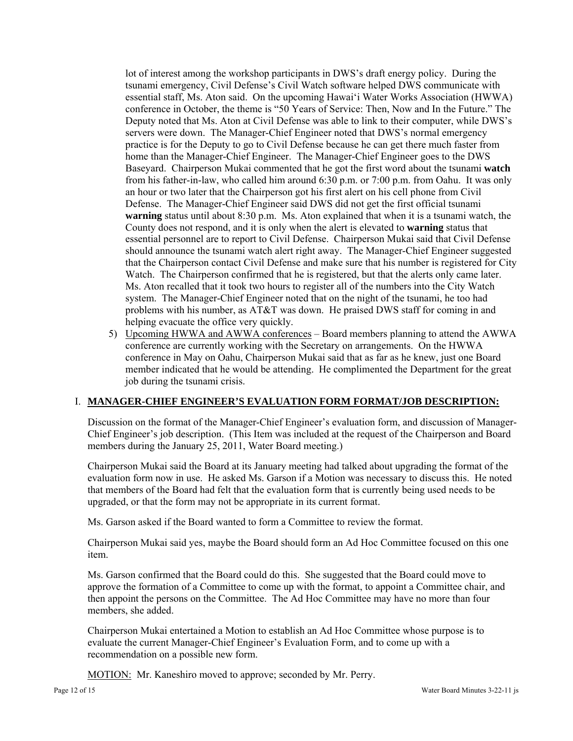lot of interest among the workshop participants in DWS's draft energy policy. During the tsunami emergency, Civil Defense's Civil Watch software helped DWS communicate with essential staff, Ms. Aton said. On the upcoming Hawai'i Water Works Association (HWWA) conference in October, the theme is "50 Years of Service: Then, Now and In the Future." The Deputy noted that Ms. Aton at Civil Defense was able to link to their computer, while DWS's servers were down. The Manager-Chief Engineer noted that DWS's normal emergency practice is for the Deputy to go to Civil Defense because he can get there much faster from home than the Manager-Chief Engineer. The Manager-Chief Engineer goes to the DWS Baseyard. Chairperson Mukai commented that he got the first word about the tsunami **watch**  from his father-in-law, who called him around 6:30 p.m. or 7:00 p.m. from Oahu. It was only an hour or two later that the Chairperson got his first alert on his cell phone from Civil Defense. The Manager-Chief Engineer said DWS did not get the first official tsunami **warning** status until about 8:30 p.m. Ms. Aton explained that when it is a tsunami watch, the County does not respond, and it is only when the alert is elevated to **warning** status that essential personnel are to report to Civil Defense. Chairperson Mukai said that Civil Defense should announce the tsunami watch alert right away. The Manager-Chief Engineer suggested that the Chairperson contact Civil Defense and make sure that his number is registered for City Watch. The Chairperson confirmed that he is registered, but that the alerts only came later. Ms. Aton recalled that it took two hours to register all of the numbers into the City Watch system. The Manager-Chief Engineer noted that on the night of the tsunami, he too had problems with his number, as AT&T was down. He praised DWS staff for coming in and helping evacuate the office very quickly.

5) Upcoming HWWA and AWWA conferences – Board members planning to attend the AWWA conference are currently working with the Secretary on arrangements. On the HWWA conference in May on Oahu, Chairperson Mukai said that as far as he knew, just one Board member indicated that he would be attending. He complimented the Department for the great job during the tsunami crisis.

# I. **MANAGER-CHIEF ENGINEER'S EVALUATION FORM FORMAT/JOB DESCRIPTION:**

Discussion on the format of the Manager-Chief Engineer's evaluation form, and discussion of Manager-Chief Engineer's job description. (This Item was included at the request of the Chairperson and Board members during the January 25, 2011, Water Board meeting.)

Chairperson Mukai said the Board at its January meeting had talked about upgrading the format of the evaluation form now in use. He asked Ms. Garson if a Motion was necessary to discuss this. He noted that members of the Board had felt that the evaluation form that is currently being used needs to be upgraded, or that the form may not be appropriate in its current format.

Ms. Garson asked if the Board wanted to form a Committee to review the format.

Chairperson Mukai said yes, maybe the Board should form an Ad Hoc Committee focused on this one item.

Ms. Garson confirmed that the Board could do this. She suggested that the Board could move to approve the formation of a Committee to come up with the format, to appoint a Committee chair, and then appoint the persons on the Committee. The Ad Hoc Committee may have no more than four members, she added.

Chairperson Mukai entertained a Motion to establish an Ad Hoc Committee whose purpose is to evaluate the current Manager-Chief Engineer's Evaluation Form, and to come up with a recommendation on a possible new form.

MOTION: Mr. Kaneshiro moved to approve; seconded by Mr. Perry.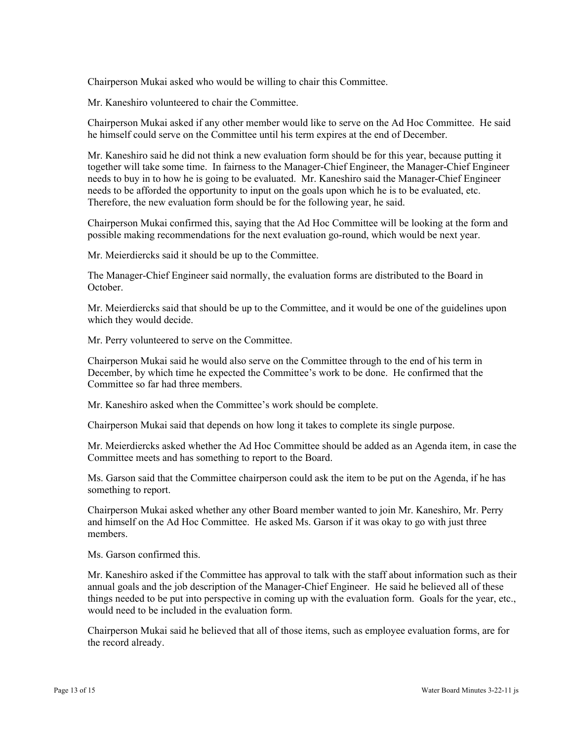Chairperson Mukai asked who would be willing to chair this Committee.

Mr. Kaneshiro volunteered to chair the Committee.

Chairperson Mukai asked if any other member would like to serve on the Ad Hoc Committee. He said he himself could serve on the Committee until his term expires at the end of December.

Mr. Kaneshiro said he did not think a new evaluation form should be for this year, because putting it together will take some time. In fairness to the Manager-Chief Engineer, the Manager-Chief Engineer needs to buy in to how he is going to be evaluated. Mr. Kaneshiro said the Manager-Chief Engineer needs to be afforded the opportunity to input on the goals upon which he is to be evaluated, etc. Therefore, the new evaluation form should be for the following year, he said.

Chairperson Mukai confirmed this, saying that the Ad Hoc Committee will be looking at the form and possible making recommendations for the next evaluation go-round, which would be next year.

Mr. Meierdiercks said it should be up to the Committee.

The Manager-Chief Engineer said normally, the evaluation forms are distributed to the Board in October.

Mr. Meierdiercks said that should be up to the Committee, and it would be one of the guidelines upon which they would decide.

Mr. Perry volunteered to serve on the Committee.

Chairperson Mukai said he would also serve on the Committee through to the end of his term in December, by which time he expected the Committee's work to be done. He confirmed that the Committee so far had three members.

Mr. Kaneshiro asked when the Committee's work should be complete.

Chairperson Mukai said that depends on how long it takes to complete its single purpose.

Mr. Meierdiercks asked whether the Ad Hoc Committee should be added as an Agenda item, in case the Committee meets and has something to report to the Board.

Ms. Garson said that the Committee chairperson could ask the item to be put on the Agenda, if he has something to report.

Chairperson Mukai asked whether any other Board member wanted to join Mr. Kaneshiro, Mr. Perry and himself on the Ad Hoc Committee. He asked Ms. Garson if it was okay to go with just three members.

Ms. Garson confirmed this.

Mr. Kaneshiro asked if the Committee has approval to talk with the staff about information such as their annual goals and the job description of the Manager-Chief Engineer. He said he believed all of these things needed to be put into perspective in coming up with the evaluation form. Goals for the year, etc., would need to be included in the evaluation form.

Chairperson Mukai said he believed that all of those items, such as employee evaluation forms, are for the record already.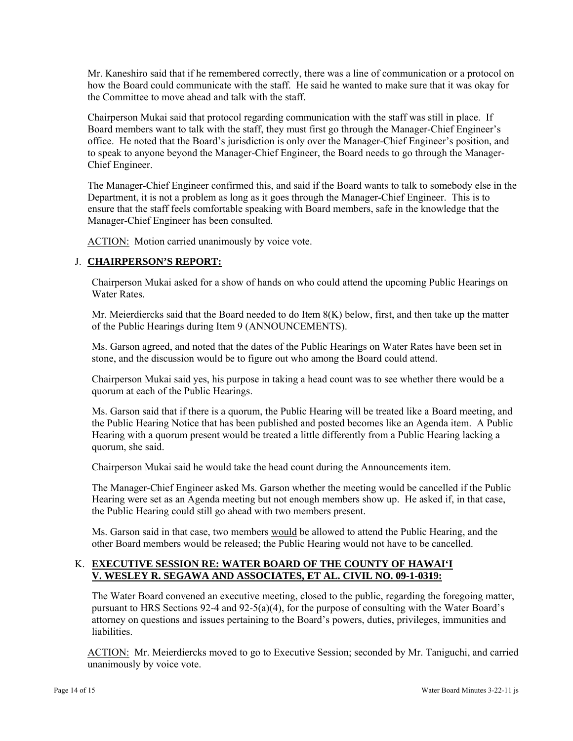Mr. Kaneshiro said that if he remembered correctly, there was a line of communication or a protocol on how the Board could communicate with the staff. He said he wanted to make sure that it was okay for the Committee to move ahead and talk with the staff.

Chairperson Mukai said that protocol regarding communication with the staff was still in place. If Board members want to talk with the staff, they must first go through the Manager-Chief Engineer's office. He noted that the Board's jurisdiction is only over the Manager-Chief Engineer's position, and to speak to anyone beyond the Manager-Chief Engineer, the Board needs to go through the Manager-Chief Engineer.

The Manager-Chief Engineer confirmed this, and said if the Board wants to talk to somebody else in the Department, it is not a problem as long as it goes through the Manager-Chief Engineer. This is to ensure that the staff feels comfortable speaking with Board members, safe in the knowledge that the Manager-Chief Engineer has been consulted.

ACTION: Motion carried unanimously by voice vote.

# J. **CHAIRPERSON'S REPORT:**

Chairperson Mukai asked for a show of hands on who could attend the upcoming Public Hearings on Water Rates.

Mr. Meierdiercks said that the Board needed to do Item  $8(K)$  below, first, and then take up the matter of the Public Hearings during Item 9 (ANNOUNCEMENTS).

Ms. Garson agreed, and noted that the dates of the Public Hearings on Water Rates have been set in stone, and the discussion would be to figure out who among the Board could attend.

Chairperson Mukai said yes, his purpose in taking a head count was to see whether there would be a quorum at each of the Public Hearings.

Ms. Garson said that if there is a quorum, the Public Hearing will be treated like a Board meeting, and the Public Hearing Notice that has been published and posted becomes like an Agenda item. A Public Hearing with a quorum present would be treated a little differently from a Public Hearing lacking a quorum, she said.

Chairperson Mukai said he would take the head count during the Announcements item.

The Manager-Chief Engineer asked Ms. Garson whether the meeting would be cancelled if the Public Hearing were set as an Agenda meeting but not enough members show up. He asked if, in that case, the Public Hearing could still go ahead with two members present.

Ms. Garson said in that case, two members would be allowed to attend the Public Hearing, and the other Board members would be released; the Public Hearing would not have to be cancelled.

# K. **EXECUTIVE SESSION RE: WATER BOARD OF THE COUNTY OF HAWAI'I V. WESLEY R. SEGAWA AND ASSOCIATES, ET AL. CIVIL NO. 09-1-0319:**

The Water Board convened an executive meeting, closed to the public, regarding the foregoing matter, pursuant to HRS Sections 92-4 and 92-5(a)(4), for the purpose of consulting with the Water Board's attorney on questions and issues pertaining to the Board's powers, duties, privileges, immunities and liabilities.

ACTION: Mr. Meierdiercks moved to go to Executive Session; seconded by Mr. Taniguchi, and carried unanimously by voice vote.